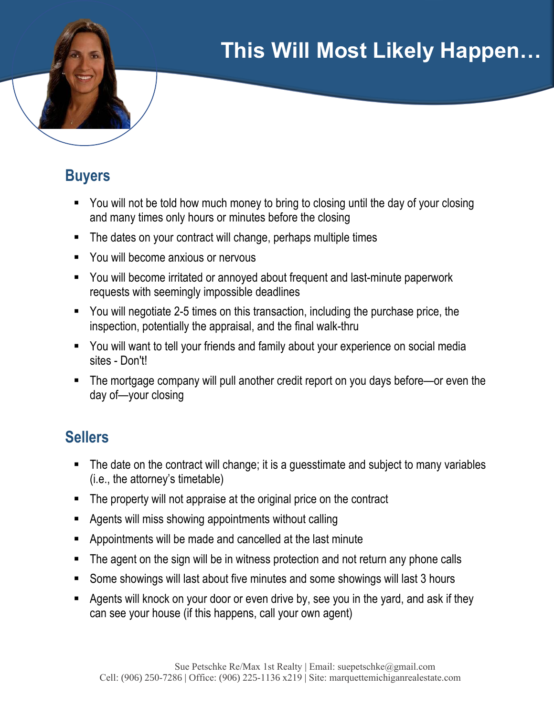# **This Will Most Likely Happen…**

### **Buyers**

- You will not be told how much money to bring to closing until the day of your closing and many times only hours or minutes before the closing
- The dates on your contract will change, perhaps multiple times
- You will become anxious or nervous
- You will become irritated or annoyed about frequent and last-minute paperwork requests with seemingly impossible deadlines
- You will negotiate 2-5 times on this transaction, including the purchase price, the inspection, potentially the appraisal, and the final walk-thru
- You will want to tell your friends and family about your experience on social media sites - Don't!
- The mortgage company will pull another credit report on you days before—or even the day of—your closing

### **Sellers**

- The date on the contract will change; it is a guesstimate and subject to many variables (i.e., the attorney's timetable)
- The property will not appraise at the original price on the contract
- Agents will miss showing appointments without calling
- § Appointments will be made and cancelled at the last minute
- The agent on the sign will be in witness protection and not return any phone calls
- Some showings will last about five minutes and some showings will last 3 hours
- Agents will knock on your door or even drive by, see you in the yard, and ask if they can see your house (if this happens, call your own agent)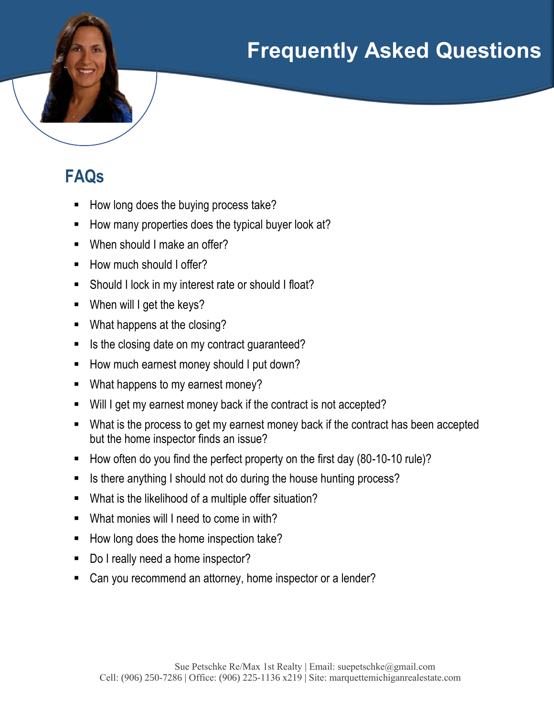# **Frequently Asked Questions**

## **FAQs**

- How long does the buying process take?
- § How many properties does the typical buyer look at?
- When should I make an offer?
- How much should I offer?
- Should I lock in my interest rate or should I float?
- When will I get the keys?
- What happens at the closing?
- Is the closing date on my contract guaranteed?
- How much earnest money should I put down?
- What happens to my earnest money?
- Will I get my earnest money back if the contract is not accepted?
- What is the process to get my earnest money back if the contract has been accepted but the home inspector finds an issue?
- How often do you find the perfect property on the first day (80-10-10 rule)?
- Is there anything I should not do during the house hunting process?
- What is the likelihood of a multiple offer situation?
- § What monies will I need to come in with?
- How long does the home inspection take?
- Do I really need a home inspector?
- § Can you recommend an attorney, home inspector or a lender?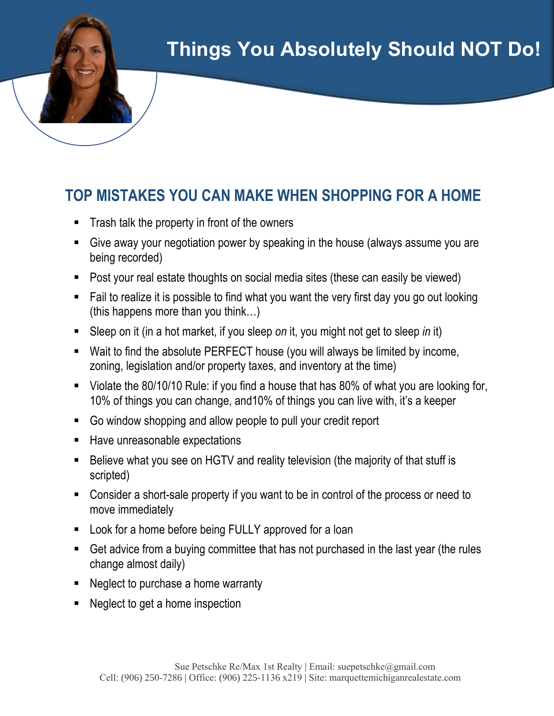## **Things You Absolutely Should NOT Do!**

### **TOP MISTAKES YOU CAN MAKE WHEN SHOPPING FOR A HOME**

- § Trash talk the property in front of the owners
- Give away your negotiation power by speaking in the house (always assume you are being recorded)
- Post your real estate thoughts on social media sites (these can easily be viewed)
- Fail to realize it is possible to find what you want the very first day you go out looking (this happens more than you think…)
- Sleep on it (in a hot market, if you sleep *on* it, you might not get to sleep *in* it)
- Wait to find the absolute PERFECT house (you will always be limited by income, zoning, legislation and/or property taxes, and inventory at the time)
- Violate the 80/10/10 Rule: if you find a house that has 80% of what you are looking for, 10% of things you can change, and10% of things you can live with, it's a keeper
- Go window shopping and allow people to pull your credit report
- Have unreasonable expectations
- Believe what you see on HGTV and reality television (the majority of that stuff is scripted)
- Consider a short-sale property if you want to be in control of the process or need to move immediately
- Look for a home before being FULLY approved for a loan
- Get advice from a buying committee that has not purchased in the last year (the rules change almost daily)
- Neglect to purchase a home warranty
- Neglect to get a home inspection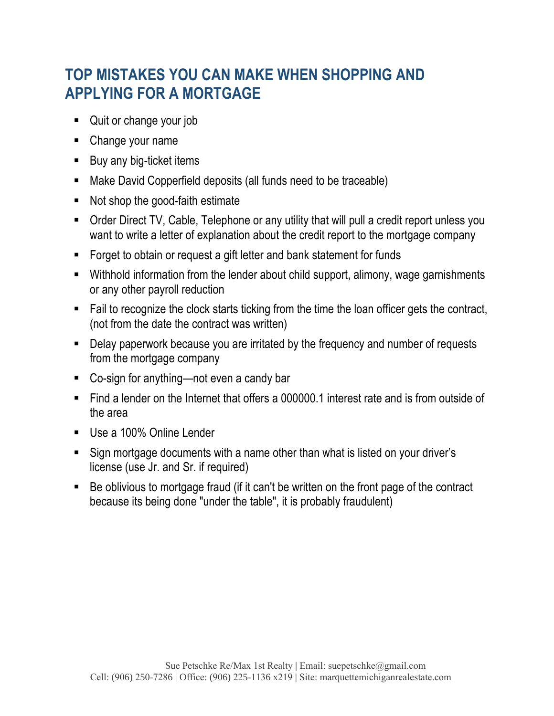### **TOP MISTAKES YOU CAN MAKE WHEN SHOPPING AND APPLYING FOR A MORTGAGE**

- Quit or change your job
- Change your name
- Buy any big-ticket items
- Make David Copperfield deposits (all funds need to be traceable)
- Not shop the good-faith estimate
- Order Direct TV, Cable, Telephone or any utility that will pull a credit report unless you want to write a letter of explanation about the credit report to the mortgage company
- Forget to obtain or request a gift letter and bank statement for funds
- Withhold information from the lender about child support, alimony, wage garnishments or any other payroll reduction
- Fail to recognize the clock starts ticking from the time the loan officer gets the contract, (not from the date the contract was written)
- Delay paperwork because you are irritated by the frequency and number of requests from the mortgage company
- Co-sign for anything—not even a candy bar
- Find a lender on the Internet that offers a 000000.1 interest rate and is from outside of the area
- Use a 100% Online Lender
- Sign mortgage documents with a name other than what is listed on your driver's license (use Jr. and Sr. if required)
- Be oblivious to mortgage fraud (if it can't be written on the front page of the contract because its being done "under the table", it is probably fraudulent)